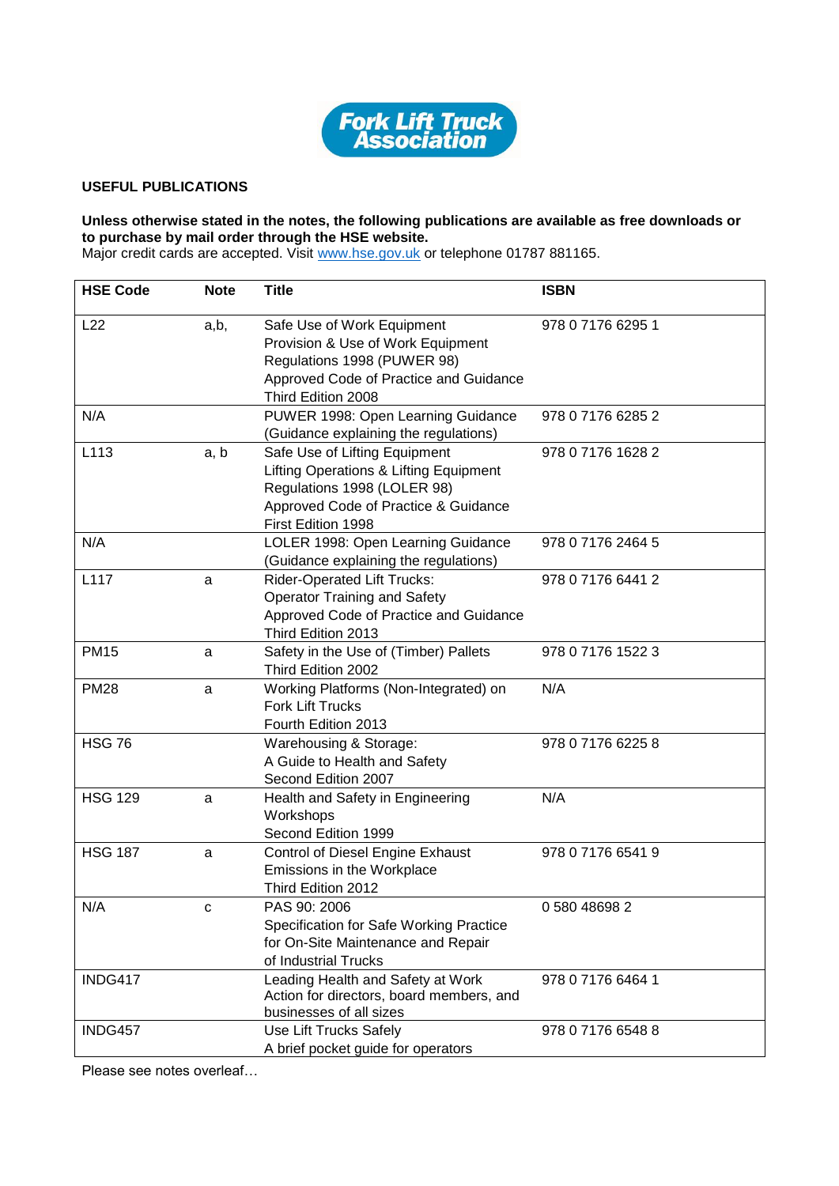

## **USEFUL PUBLICATIONS**

## **Unless otherwise stated in the notes, the following publications are available as free downloads or to purchase by mail order through the HSE website.**

Major credit cards are accepted. Visit [www.hse.gov.uk](http://www.hse.gov.uk/) or telephone 01787 881165.

| <b>HSE Code</b> | <b>Note</b> | <b>Title</b>                                                                                                                                                         | <b>ISBN</b>       |
|-----------------|-------------|----------------------------------------------------------------------------------------------------------------------------------------------------------------------|-------------------|
| L22             | a,b,        | Safe Use of Work Equipment<br>Provision & Use of Work Equipment<br>Regulations 1998 (PUWER 98)<br>Approved Code of Practice and Guidance<br>Third Edition 2008       | 978 0 7176 6295 1 |
| N/A             |             | PUWER 1998: Open Learning Guidance<br>(Guidance explaining the regulations)                                                                                          | 978 0 7176 6285 2 |
| L113            | a, b        | Safe Use of Lifting Equipment<br>Lifting Operations & Lifting Equipment<br>Regulations 1998 (LOLER 98)<br>Approved Code of Practice & Guidance<br>First Edition 1998 | 978 0 7176 1628 2 |
| N/A             |             | LOLER 1998: Open Learning Guidance<br>(Guidance explaining the regulations)                                                                                          | 978 0 7176 2464 5 |
| L117            | a           | <b>Rider-Operated Lift Trucks:</b><br><b>Operator Training and Safety</b><br>Approved Code of Practice and Guidance<br>Third Edition 2013                            | 978 0 7176 6441 2 |
| <b>PM15</b>     | a           | Safety in the Use of (Timber) Pallets<br>Third Edition 2002                                                                                                          | 978 0 7176 1522 3 |
| <b>PM28</b>     | a           | Working Platforms (Non-Integrated) on<br><b>Fork Lift Trucks</b><br>Fourth Edition 2013                                                                              | N/A               |
| <b>HSG 76</b>   |             | Warehousing & Storage:<br>A Guide to Health and Safety<br>Second Edition 2007                                                                                        | 978 0 7176 6225 8 |
| <b>HSG 129</b>  | a           | Health and Safety in Engineering<br>Workshops<br>Second Edition 1999                                                                                                 | N/A               |
| <b>HSG 187</b>  | a           | Control of Diesel Engine Exhaust<br>Emissions in the Workplace<br>Third Edition 2012                                                                                 | 978 0 7176 6541 9 |
| N/A             | c           | PAS 90: 2006<br>Specification for Safe Working Practice<br>for On-Site Maintenance and Repair<br>of Industrial Trucks                                                | 0 580 48698 2     |
| INDG417         |             | Leading Health and Safety at Work<br>Action for directors, board members, and<br>businesses of all sizes                                                             | 978 0 7176 6464 1 |
| INDG457         |             | Use Lift Trucks Safely<br>A brief pocket guide for operators                                                                                                         | 978 0 7176 6548 8 |

Please see notes overleaf…